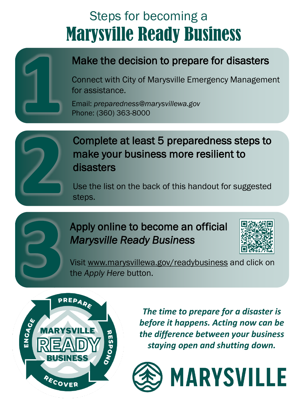## Marysville Ready Business Steps for becoming a



## Make the decision to prepare for disasters

Connect with City of Marysville Emergency Management for assistance.

Email: *preparedness@marysvillewa.gov* Phone: (360) 363-8000



### Complete at least 5 preparedness steps to make your business more resilient to disasters

Use the list on the back of this handout for suggested steps.

## Apply online to become an official *Marysville Ready Business*



Visit www.marysvillewa.gov/readybusiness and click on the *Apply Here* button.



*The time to prepare for a disaster is before it happens. Acting now can be the difference between your business staying open and shutting down.*